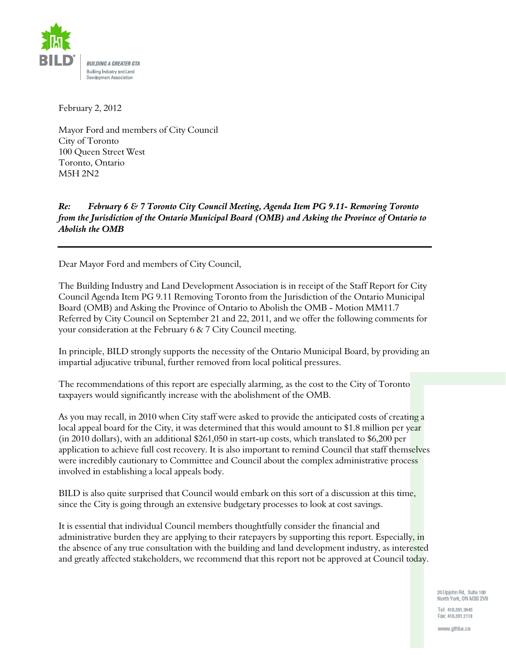

February 2, 2012

Mayor Ford and members of City Council City of Toronto 100 Queen Street West Toronto, Ontario M5H 2N2

## February 6 & 7 Toronto City Council Meeting, Agenda Item PG 9.11- Removing Toronto  $Re:$ from the Jurisdiction of the Ontario Municipal Board (OMB) and Asking the Province of Ontario to **Abolish the OMB**

Dear Mayor Ford and members of City Council,

The Building Industry and Land Development Association is in receipt of the Staff Report for City Council Agenda Item PG 9.11 Removing Toronto from the Jurisdiction of the Ontario Municipal Board (OMB) and Asking the Province of Ontario to Abolish the OMB - Motion MM11.7 Referred by City Council on September 21 and 22, 2011, and we offer the following comments for your consideration at the February  $6 \& 7 \text{ City Council meeting.}$ 

In principle, BILD strongly supports the necessity of the Ontario Municipal Board, by providing an impartial adjucative tribunal, further removed from local political pressures.

The recommendations of this report are especially alarming, as the cost to the City of Toronto taxpayers would significantly increase with the abolishment of the OMB.

As you may recall, in 2010 when City staff were asked to provide the anticipated costs of creating a local appeal board for the City, it was determined that this would amount to \$1.8 million per year (in 2010 dollars), with an additional \$261,050 in start-up costs, which translated to \$6,200 per application to achieve full cost recovery. It is also important to remind Council that staff themselves were incredibly cautionary to Committee and Council about the complex administrative process involved in establishing a local appeals body.

BILD is also quite surprised that Council would embark on this sort of a discussion at this time, since the City is going through an extensive budgetary processes to look at cost savings.

It is essential that individual Council members thoughtfully consider the financial and administrative burden they are applying to their ratepayers by supporting this report. Especially, in the absence of any true consultation with the building and land development industry, as interested and greatly affected stakeholders, we recommend that this report not be approved at Council today.

> 20 Upjohn Rd, Suite 100 North York, ON M3B 2V9

Tel: 416,391.3445 Fax: 416.391.2118

www.gthba.ca